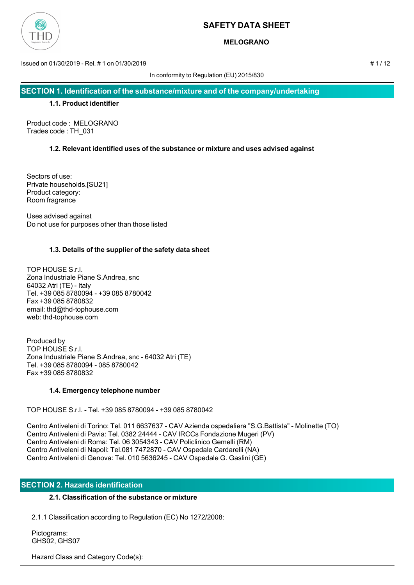

# **MELOGRANO**

Issued on 01/30/2019 - Rel. # 1 on 01/30/2019 # 1 / 12

In conformity to Regulation (EU) 2015/830

**SECTION 1. Identification of the substance/mixture and of the company/undertaking**

## **1.1. Product identifier**

Product code : MELOGRANO Trades code : TH\_031

# **1.2. Relevant identified uses of the substance or mixture and uses advised against**

Sectors of use: Private households.[SU21] Product category: Room fragrance

Uses advised against Do not use for purposes other than those listed

# **1.3. Details of the supplier of the safety data sheet**

TOP HOUSE S.r.l. Zona Industriale Piane S.Andrea, snc 64032 Atri (TE) - Italy Tel. +39 085 8780094 - +39 085 8780042 Fax +39 085 8780832 email: thd@thd-tophouse.com web: thd-tophouse.com

Produced by TOP HOUSE S.r.l. Zona Industriale Piane S.Andrea, snc - 64032 Atri (TE) Tel. +39 085 8780094 - 085 8780042 Fax +39 085 8780832

# **1.4. Emergency telephone number**

TOP HOUSE S.r.l. - Tel. +39 085 8780094 - +39 085 8780042

Centro Antiveleni di Torino: Tel. 011 6637637 - CAV Azienda ospedaliera "S.G.Battista" - Molinette (TO) Centro Antiveleni di Pavia: Tel. 0382 24444 - CAV IRCCs Fondazione Mugeri (PV) Centro Antiveleni di Roma: Tel. 06 3054343 - CAV Policlinico Gemelli (RM) Centro Antiveleni di Napoli: Tel.081 7472870 - CAV Ospedale Cardarelli (NA) Centro Antiveleni di Genova: Tel. 010 5636245 - CAV Ospedale G. Gaslini (GE)

# **SECTION 2. Hazards identification**

# **2.1. Classification of the substance or mixture**

2.1.1 Classification according to Regulation (EC) No 1272/2008:

 Pictograms: GHS02, GHS07

Hazard Class and Category Code(s):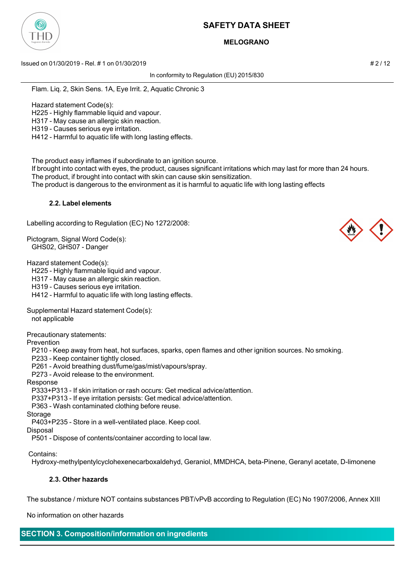

## **MELOGRANO**

Issued on 01/30/2019 - Rel. # 1 on 01/30/2019 **And Contact the Contact of the Contact of the Contact of the Contact of the Contact of the Contact of the Contact of the 2 / 12** 

In conformity to Regulation (EU) 2015/830

Flam. Liq. 2, Skin Sens. 1A, Eye Irrit. 2, Aquatic Chronic 3

Hazard statement Code(s):

H225 - Highly flammable liquid and vapour.

H317 - May cause an allergic skin reaction.

H319 - Causes serious eye irritation.

H412 - Harmful to aquatic life with long lasting effects.

The product easy inflames if subordinate to an ignition source.

 If brought into contact with eyes, the product, causes significant irritations which may last for more than 24 hours. The product, if brought into contact with skin can cause skin sensitization.

The product is dangerous to the environment as it is harmful to aquatic life with long lasting effects

### **2.2. Label elements**

Labelling according to Regulation (EC) No 1272/2008:

Pictogram, Signal Word Code(s): GHS02, GHS07 - Danger

Hazard statement Code(s):

H225 - Highly flammable liquid and vapour.

H317 - May cause an allergic skin reaction.

H319 - Causes serious eye irritation.

H412 - Harmful to aquatic life with long lasting effects.

Supplemental Hazard statement Code(s):

not applicable

Precautionary statements:

Prevention

P210 - Keep away from heat, hot surfaces, sparks, open flames and other ignition sources. No smoking.

P233 - Keep container tightly closed.

P261 - Avoid breathing dust/fume/gas/mist/vapours/spray.

P273 - Avoid release to the environment.

Response

P333+P313 - If skin irritation or rash occurs: Get medical advice/attention.

P337+P313 - If eye irritation persists: Get medical advice/attention.

P363 - Wash contaminated clothing before reuse.

Storage

P403+P235 - Store in a well-ventilated place. Keep cool.

Disposal

P501 - Dispose of contents/container according to local law.

Contains:

Hydroxy-methylpentylcyclohexenecarboxaldehyd, Geraniol, MMDHCA, beta-Pinene, Geranyl acetate, D-limonene

### **2.3. Other hazards**

The substance / mixture NOT contains substances PBT/vPvB according to Regulation (EC) No 1907/2006, Annex XIII

No information on other hazards

### **SECTION 3. Composition/information on ingredients**

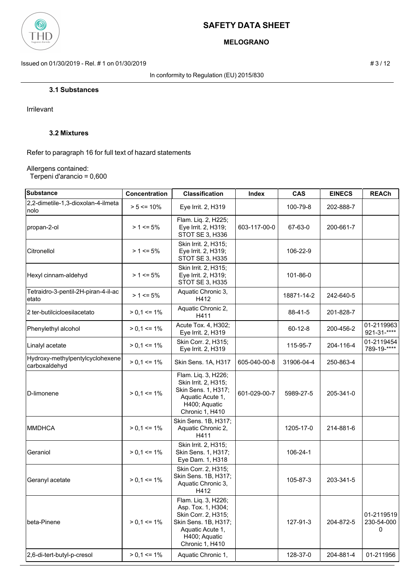

# **MELOGRANO**

Issued on 01/30/2019 - Rel. # 1 on 01/30/2019 **# 3** / 12

In conformity to Regulation (EU) 2015/830

**3.1 Substances**

Irrilevant

## **3.2 Mixtures**

Refer to paragraph 16 for full text of hazard statements

Allergens contained:

Terpeni d'arancio = 0,600

|                                                  |                 | <b>Classification</b>                                                                                                                            | Index        | <b>CAS</b>    | <b>EINECS</b> | <b>REACh</b>                  |
|--------------------------------------------------|-----------------|--------------------------------------------------------------------------------------------------------------------------------------------------|--------------|---------------|---------------|-------------------------------|
| 2,2-dimetile-1,3-dioxolan-4-ilmeta<br>nolo       | $> 5 \le 10\%$  | Eye Irrit. 2, H319                                                                                                                               |              | 100-79-8      | 202-888-7     |                               |
| propan-2-ol                                      | $> 1 \le 5\%$   | Flam. Liq. 2, H225;<br>Eye Irrit. 2, H319;<br>STOT SE 3, H336                                                                                    | 603-117-00-0 | 67-63-0       | 200-661-7     |                               |
| Citronellol                                      | $> 1 \le 5\%$   | Skin Irrit. 2, H315;<br>Eye Irrit. 2, H319;<br>STOT SE 3, H335                                                                                   |              | 106-22-9      |               |                               |
| Hexyl cinnam-aldehyd                             | $> 1 \le 5\%$   | Skin Irrit. 2, H315;<br>Eye Irrit. 2, H319;<br>STOT SE 3, H335                                                                                   |              | 101-86-0      |               |                               |
| Tetraidro-3-pentil-2H-piran-4-il-ac<br>etato     | $> 1 \le 5\%$   | Aquatic Chronic 3,<br>H412                                                                                                                       |              | 18871-14-2    | 242-640-5     |                               |
| 2 ter-butilcicloesilacetato                      | $> 0.1 \le 1\%$ | Aquatic Chronic 2,<br>H411                                                                                                                       |              | 88-41-5       | 201-828-7     |                               |
| Phenylethyl alcohol                              | $> 0.1 \le 1\%$ | Acute Tox. 4, H302;<br>Eye Irrit. 2, H319                                                                                                        |              | $60 - 12 - 8$ | 200-456-2     | 01-2119963<br>921-31-****     |
| Linalyl acetate                                  | $> 0.1 \le 1\%$ | Skin Corr. 2, H315;<br>Eye Irrit. 2, H319                                                                                                        |              | 115-95-7      | 204-116-4     | 01-2119454<br>789-19-****     |
| Hydroxy-methylpentylcyclohexene<br>carboxaldehyd | $> 0.1 \le 1\%$ | Skin Sens. 1A, H317                                                                                                                              | 605-040-00-8 | 31906-04-4    | 250-863-4     |                               |
| <b>ID-limonene</b>                               | $> 0.1 \le 1\%$ | Flam. Liq. 3, H226;<br>Skin Irrit. 2, H315;<br>Skin Sens. 1, H317;<br>Aquatic Acute 1,<br>H400; Aquatic<br>Chronic 1, H410                       | 601-029-00-7 | 5989-27-5     | 205-341-0     |                               |
| <b>MMDHCA</b>                                    | $> 0.1 \le 1\%$ | Skin Sens. 1B, H317;<br>Aquatic Chronic 2,<br>H411                                                                                               |              | 1205-17-0     | 214-881-6     |                               |
| Geraniol                                         | $> 0.1 \le 1\%$ | Skin Irrit. 2, H315;<br>Skin Sens. 1, H317;<br>Eye Dam. 1, H318                                                                                  |              | 106-24-1      |               |                               |
| Geranyl acetate                                  | $> 0.1 \le 1\%$ | Skin Corr. 2, H315;<br>Skin Sens. 1B, H317;<br>Aquatic Chronic 3,<br>H412                                                                        |              | 105-87-3      | 203-341-5     |                               |
| beta-Pinene                                      | $> 0.1 \le 1\%$ | Flam. Liq. 3, H226;<br>Asp. Tox. 1, H304;<br>Skin Corr. 2, H315;<br>Skin Sens. 1B, H317;<br>Aquatic Acute 1,<br>H400; Aquatic<br>Chronic 1, H410 |              | 127-91-3      | 204-872-5     | 01-2119519<br>230-54-000<br>0 |
| 2,6-di-tert-butyl-p-cresol                       | $> 0.1 \le 1\%$ | Aquatic Chronic 1,                                                                                                                               |              | 128-37-0      | 204-881-4     | 01-211956                     |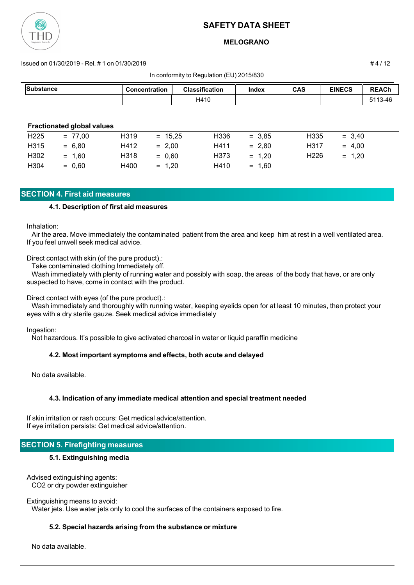

### **MELOGRANO**

#### Issued on 01/30/2019 - Rel. # 1 on 01/30/2019 # 4 / 12

In conformity to Regulation (EU) 2015/830

| <b>Substance</b> |                                   | <b>Concentration</b> |           | <b>Classification</b> | Index    | <b>CAS</b>       | <b>EINECS</b> | <b>REACh</b> |
|------------------|-----------------------------------|----------------------|-----------|-----------------------|----------|------------------|---------------|--------------|
|                  |                                   |                      |           | H410                  |          |                  |               | 5113-46      |
|                  |                                   |                      |           |                       |          |                  |               |              |
|                  | <b>Fractionated global values</b> |                      |           |                       |          |                  |               |              |
| H <sub>225</sub> | $= 77,00$                         | H319                 | $= 15,25$ | H336                  | $= 3,85$ | H335             | $= 3,40$      |              |
| H315             | $= 6,80$                          | H412                 | $= 2,00$  | H411                  | $= 2,80$ | H317             | $= 4,00$      |              |
| H302             | $= 1,60$                          | H318                 | $= 0,60$  | H373                  | $= 1,20$ | H <sub>226</sub> | $= 1,20$      |              |
| H304             | $= 0,60$                          | H400                 | $= 1,20$  | H410                  | $= 1,60$ |                  |               |              |

## **SECTION 4. First aid measures**

#### **4.1. Description of first aid measures**

Inhalation:

 Air the area. Move immediately the contaminated patient from the area and keep him at rest in a well ventilated area. If you feel unwell seek medical advice.

Direct contact with skin (of the pure product).:

Take contaminated clothing Immediately off.

 Wash immediately with plenty of running water and possibly with soap, the areas of the body that have, or are only suspected to have, come in contact with the product.

Direct contact with eyes (of the pure product).:

 Wash immediately and thoroughly with running water, keeping eyelids open for at least 10 minutes, then protect your eyes with a dry sterile gauze. Seek medical advice immediately

Ingestion:

Not hazardous. It's possible to give activated charcoal in water or liquid paraffin medicine

#### **4.2. Most important symptoms and effects, both acute and delayed**

No data available.

### **4.3. Indication of any immediate medical attention and special treatment needed**

If skin irritation or rash occurs: Get medical advice/attention. If eye irritation persists: Get medical advice/attention.

### **SECTION 5. Firefighting measures**

#### **5.1. Extinguishing media**

Advised extinguishing agents: CO2 or dry powder extinguisher

Extinguishing means to avoid:

Water jets. Use water jets only to cool the surfaces of the containers exposed to fire.

#### **5.2. Special hazards arising from the substance or mixture**

No data available.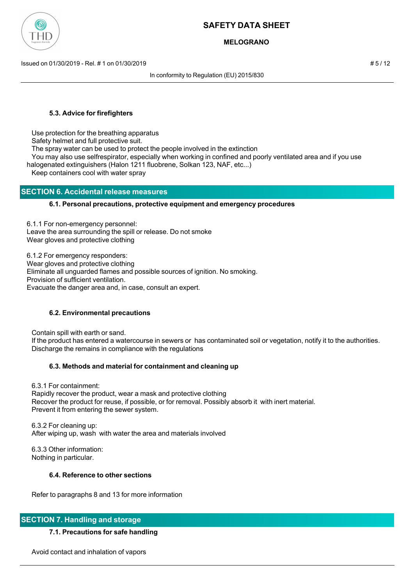

## **MELOGRANO**

Issued on 01/30/2019 - Rel. # 1 on 01/30/2019 # 5 / 12

In conformity to Regulation (EU) 2015/830

### **5.3. Advice for firefighters**

Use protection for the breathing apparatus

Safety helmet and full protective suit.

The spray water can be used to protect the people involved in the extinction

You may also use selfrespirator, especially when working in confined and poorly ventilated area and if you use

halogenated extinguishers (Halon 1211 fluobrene, Solkan 123, NAF, etc...)

Keep containers cool with water spray

### **SECTION 6. Accidental release measures**

### **6.1. Personal precautions, protective equipment and emergency procedures**

6.1.1 For non-emergency personnel: Leave the area surrounding the spill or release. Do not smoke Wear gloves and protective clothing

6.1.2 For emergency responders:

Wear gloves and protective clothing

Eliminate all unguarded flames and possible sources of ignition. No smoking.

Provision of sufficient ventilation.

Evacuate the danger area and, in case, consult an expert.

### **6.2. Environmental precautions**

Contain spill with earth or sand.

 If the product has entered a watercourse in sewers or has contaminated soil or vegetation, notify it to the authorities. Discharge the remains in compliance with the regulations

### **6.3. Methods and material for containment and cleaning up**

 6.3.1 For containment: Rapidly recover the product, wear a mask and protective clothing Recover the product for reuse, if possible, or for removal. Possibly absorb it with inert material. Prevent it from entering the sewer system.

 6.3.2 For cleaning up: After wiping up, wash with water the area and materials involved

 6.3.3 Other information: Nothing in particular.

# **6.4. Reference to other sections**

Refer to paragraphs 8 and 13 for more information

# **SECTION 7. Handling and storage**

# **7.1. Precautions for safe handling**

Avoid contact and inhalation of vapors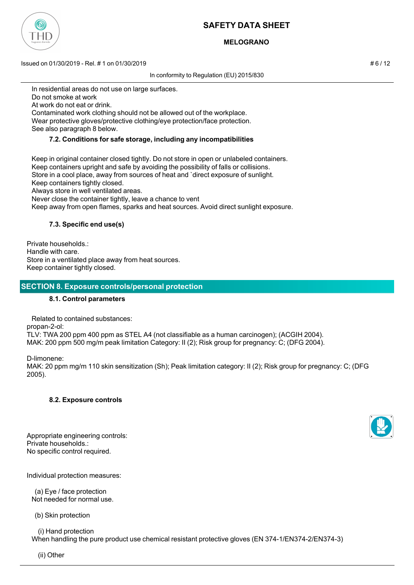

# **MELOGRANO**

Issued on 01/30/2019 - Rel. # 1 on 01/30/2019 **Assume 12 on the contract of the contract of the contract of the contract of the contract of the contract of the contract of the contract of the contract of the contract of th** 

In conformity to Regulation (EU) 2015/830

In residential areas do not use on large surfaces.

Do not smoke at work

At work do not eat or drink.

 Contaminated work clothing should not be allowed out of the workplace. Wear protective gloves/protective clothing/eye protection/face protection.

See also paragraph 8 below.

### **7.2. Conditions for safe storage, including any incompatibilities**

 Keep in original container closed tightly. Do not store in open or unlabeled containers. Keep containers upright and safe by avoiding the possibility of falls or collisions. Store in a cool place, away from sources of heat and `direct exposure of sunlight. Keep containers tightly closed. Always store in well ventilated areas. Never close the container tightly, leave a chance to vent Keep away from open flames, sparks and heat sources. Avoid direct sunlight exposure.

## **7.3. Specific end use(s)**

Private households.: Handle with care. Store in a ventilated place away from heat sources. Keep container tightly closed.

## **SECTION 8. Exposure controls/personal protection**

### **8.1. Control parameters**

 Related to contained substances: propan-2-ol: TLV: TWA 200 ppm 400 ppm as STEL A4 (not classifiable as a human carcinogen); (ACGIH 2004). MAK: 200 ppm 500 mg/m peak limitation Category: II (2); Risk group for pregnancy: C; (DFG 2004).

D-limonene:

MAK: 20 ppm mg/m 110 skin sensitization (Sh); Peak limitation category: II (2); Risk group for pregnancy: C; (DFG 2005).

### **8.2. Exposure controls**

Appropriate engineering controls: Private households.: No specific control required.

Individual protection measures:

 (a) Eye / face protection Not needed for normal use.

(b) Skin protection

(i) Hand protection

When handling the pure product use chemical resistant protective gloves (EN 374-1/EN374-2/EN374-3)



(ii) Other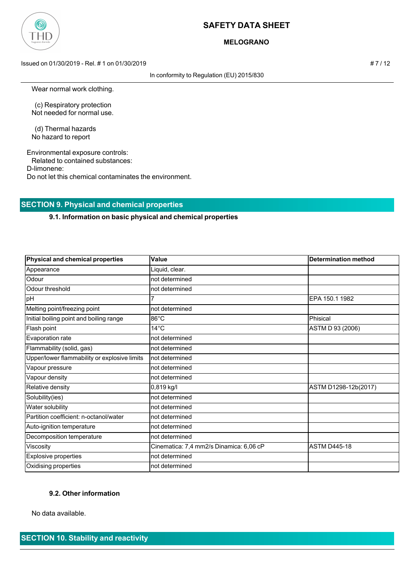

### **MELOGRANO**

Issued on 01/30/2019 - Rel. # 1 on 01/30/2019 **# 7 / 12** 

In conformity to Regulation (EU) 2015/830

Wear normal work clothing.

 (c) Respiratory protection Not needed for normal use.

 (d) Thermal hazards No hazard to report

Environmental exposure controls: Related to contained substances: D-limonene: Do not let this chemical contaminates the environment.

## **SECTION 9. Physical and chemical properties**

### **9.1. Information on basic physical and chemical properties**

| Physical and chemical properties             | Value                                   | <b>Determination method</b> |
|----------------------------------------------|-----------------------------------------|-----------------------------|
| Appearance                                   | Liquid, clear.                          |                             |
| Odour                                        | not determined                          |                             |
| Odour threshold                              | not determined                          |                             |
| pH                                           |                                         | EPA 150.1 1982              |
| Melting point/freezing point                 | not determined                          |                             |
| Initial boiling point and boiling range      | $86^{\circ}$ C                          | Phisical                    |
| Flash point                                  | $14^{\circ}$ C                          | ASTM D 93 (2006)            |
| Evaporation rate                             | not determined                          |                             |
| Flammability (solid, gas)                    | not determined                          |                             |
| Upper/lower flammability or explosive limits | not determined                          |                             |
| Vapour pressure                              | not determined                          |                             |
| Vapour density                               | not determined                          |                             |
| Relative density                             | 0,819 kg/l                              | ASTM D1298-12b(2017)        |
| Solubility(ies)                              | not determined                          |                             |
| Water solubility                             | not determined                          |                             |
| Partition coefficient: n-octanol/water       | not determined                          |                             |
| Auto-ignition temperature                    | not determined                          |                             |
| Decomposition temperature                    | not determined                          |                             |
| Viscosity                                    | Cinematica: 7,4 mm2/s Dinamica: 6,06 cP | <b>ASTM D445-18</b>         |
| Explosive properties                         | not determined                          |                             |
| Oxidising properties                         | not determined                          |                             |

#### **9.2. Other information**

No data available.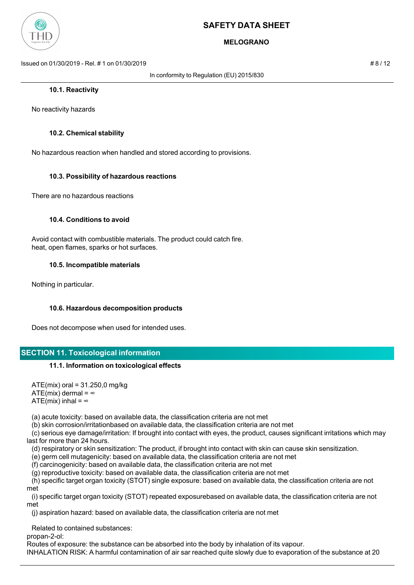

# **MELOGRANO**

Issued on 01/30/2019 - Rel. # 1 on 01/30/2019 # 8 / 12

In conformity to Regulation (EU) 2015/830

No reactivity hazards

### **10.2. Chemical stability**

No hazardous reaction when handled and stored according to provisions.

### **10.3. Possibility of hazardous reactions**

There are no hazardous reactions

### **10.4. Conditions to avoid**

 Avoid contact with combustible materials. The product could catch fire. heat, open flames, sparks or hot surfaces.

### **10.5. Incompatible materials**

Nothing in particular.

### **10.6. Hazardous decomposition products**

Does not decompose when used for intended uses.

### **SECTION 11. Toxicological information**

#### **11.1. Information on toxicological effects**

 $ATE(min)$  oral = 31.250,0 mg/kg ATE(mix) dermal =  $\infty$ ATE(mix) inhal =  $\infty$ 

(a) acute toxicity: based on available data, the classification criteria are not met

(b) skin corrosion/irritationbased on available data, the classification criteria are not met

 (c) serious eye damage/irritation: If brought into contact with eyes, the product, causes significant irritations which may last for more than 24 hours.

(d) respiratory or skin sensitization: The product, if brought into contact with skin can cause skin sensitization.

(e) germ cell mutagenicity: based on available data, the classification criteria are not met

(f) carcinogenicity: based on available data, the classification criteria are not met

(g) reproductive toxicity: based on available data, the classification criteria are not met

 (h) specific target organ toxicity (STOT) single exposure: based on available data, the classification criteria are not met

 (i) specific target organ toxicity (STOT) repeated exposurebased on available data, the classification criteria are not met

(j) aspiration hazard: based on available data, the classification criteria are not met

Related to contained substances:

propan-2-ol:

Routes of exposure: the substance can be absorbed into the body by inhalation of its vapour.

INHALATION RISK: A harmful contamination of air sar reached quite slowly due to evaporation of the substance at 20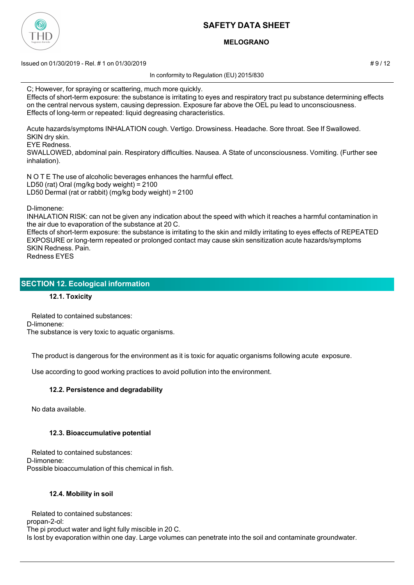

## **MELOGRANO**

 $\mu$  Issued on 01/30/2019 - Rel. # 1 on 01/30/2019  $\mu$  9 / 12

In conformity to Regulation (EU) 2015/830

C; However, for spraying or scattering, much more quickly.

Effects of short-term exposure: the substance is irritating to eyes and respiratory tract pu substance determining effects on the central nervous system, causing depression. Exposure far above the OEL pu lead to unconsciousness. Effects of long-term or repeated: liquid degreasing characteristics.

Acute hazards/symptoms INHALATION cough. Vertigo. Drowsiness. Headache. Sore throat. See If Swallowed. SKIN dry skin.

EYE Redness.

SWALLOWED, abdominal pain. Respiratory difficulties. Nausea. A State of unconsciousness. Vomiting. (Further see inhalation).

N O T E The use of alcoholic beverages enhances the harmful effect. LD50 (rat) Oral (mg/kg body weight) = 2100 LD50 Dermal (rat or rabbit) (mg/kg body weight) = 2100

D-limonene:

INHALATION RISK: can not be given any indication about the speed with which it reaches a harmful contamination in the air due to evaporation of the substance at 20 C.

Effects of short-term exposure: the substance is irritating to the skin and mildly irritating to eyes effects of REPEATED EXPOSURE or long-term repeated or prolonged contact may cause skin sensitization acute hazards/symptoms SKIN Redness. Pain.

Redness EYES

## **SECTION 12. Ecological information**

### **12.1. Toxicity**

 Related to contained substances: D-limonene: The substance is very toxic to aquatic organisms.

The product is dangerous for the environment as it is toxic for aquatic organisms following acute exposure.

Use according to good working practices to avoid pollution into the environment.

### **12.2. Persistence and degradability**

No data available.

### **12.3. Bioaccumulative potential**

 Related to contained substances: D-limonene: Possible bioaccumulation of this chemical in fish.

### **12.4. Mobility in soil**

 Related to contained substances: propan-2-ol: The pi product water and light fully miscible in 20 C. Is lost by evaporation within one day. Large volumes can penetrate into the soil and contaminate groundwater.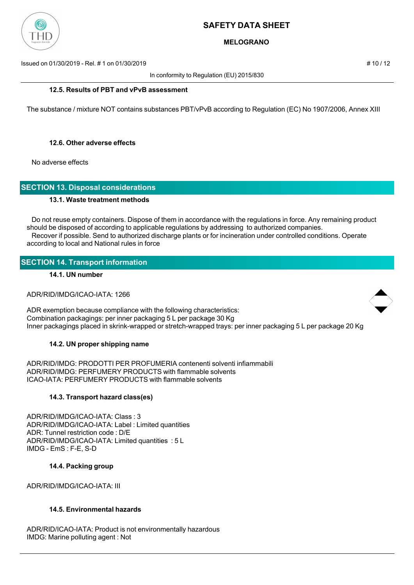

## **MELOGRANO**

Issued on 01/30/2019 - Rel. # 1 on 01/30/2019 **Assumed by a set of the set of the set of the set of the set of the set of the set of the set of the set of the set of the set of the set of the set of the set of the set of t** 

In conformity to Regulation (EU) 2015/830

### **12.5. Results of PBT and vPvB assessment**

The substance / mixture NOT contains substances PBT/vPvB according to Regulation (EC) No 1907/2006, Annex XIII

### **12.6. Other adverse effects**

No adverse effects

### **SECTION 13. Disposal considerations**

### **13.1. Waste treatment methods**

 Do not reuse empty containers. Dispose of them in accordance with the regulations in force. Any remaining product should be disposed of according to applicable regulations by addressing to authorized companies. Recover if possible. Send to authorized discharge plants or for incineration under controlled conditions. Operate according to local and National rules in force

# **SECTION 14. Transport information**

### **14.1. UN number**

### ADR/RID/IMDG/ICAO-IATA: 1266

ADR exemption because compliance with the following characteristics: Combination packagings: per inner packaging 5 L per package 30 Kg Inner packagings placed in skrink-wrapped or stretch-wrapped trays: per inner packaging 5 L per package 20 Kg

### **14.2. UN proper shipping name**

ADR/RID/IMDG: PRODOTTI PER PROFUMERIA contenenti solventi infiammabili ADR/RID/IMDG: PERFUMERY PRODUCTS with flammable solvents ICAO-IATA: PERFUMERY PRODUCTS with flammable solvents

### **14.3. Transport hazard class(es)**

ADR/RID/IMDG/ICAO-IATA: Class : 3 ADR/RID/IMDG/ICAO-IATA: Label : Limited quantities ADR: Tunnel restriction code : D/E ADR/RID/IMDG/ICAO-IATA: Limited quantities : 5 L IMDG - EmS : F-E, S-D

### **14.4. Packing group**

ADR/RID/IMDG/ICAO-IATA: III

#### **14.5. Environmental hazards**

ADR/RID/ICAO-IATA: Product is not environmentally hazardous IMDG: Marine polluting agent : Not

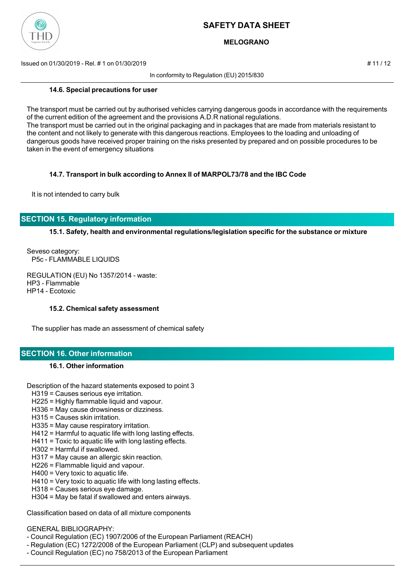

## **MELOGRANO**

Issued on 01/30/2019 - Rel. # 1 on 01/30/2019 # 11 / 12

In conformity to Regulation (EU) 2015/830

#### **14.6. Special precautions for user**

The transport must be carried out by authorised vehicles carrying dangerous goods in accordance with the requirements of the current edition of the agreement and the provisions A.D.R national regulations. The transport must be carried out in the original packaging and in packages that are made from materials resistant to the content and not likely to generate with this dangerous reactions. Employees to the loading and unloading of dangerous goods have received proper training on the risks presented by prepared and on possible procedures to be taken in the event of emergency situations

### **14.7. Transport in bulk according to Annex II of MARPOL73/78 and the IBC Code**

It is not intended to carry bulk

# **SECTION 15. Regulatory information**

**15.1. Safety, health and environmental regulations/legislation specific for the substance or mixture**

Seveso category: P5c - FLAMMABLE LIQUIDS

REGULATION (EU) No 1357/2014 - waste: HP3 - Flammable HP14 - Ecotoxic

#### **15.2. Chemical safety assessment**

The supplier has made an assessment of chemical safety

# **SECTION 16. Other information**

### **16.1. Other information**

Description of the hazard statements exposed to point 3

- H319 = Causes serious eye irritation.
- H225 = Highly flammable liquid and vapour.
- H336 = May cause drowsiness or dizziness.
- H315 = Causes skin irritation.
- H335 = May cause respiratory irritation.
- H412 = Harmful to aquatic life with long lasting effects.
- H411 = Toxic to aquatic life with long lasting effects.
- H302 = Harmful if swallowed.
- H317 = May cause an allergic skin reaction.
- H226 = Flammable liquid and vapour.
- H400 = Very toxic to aquatic life.
- H410 = Very toxic to aquatic life with long lasting effects.
- H318 = Causes serious eye damage.
- H304 = May be fatal if swallowed and enters airways.

Classification based on data of all mixture components

# GENERAL BIBLIOGRAPHY:

- Council Regulation (EC) 1907/2006 of the European Parliament (REACH)
- Regulation (EC) 1272/2008 of the European Parliament (CLP) and subsequent updates
- Council Regulation (EC) no 758/2013 of the European Parliament